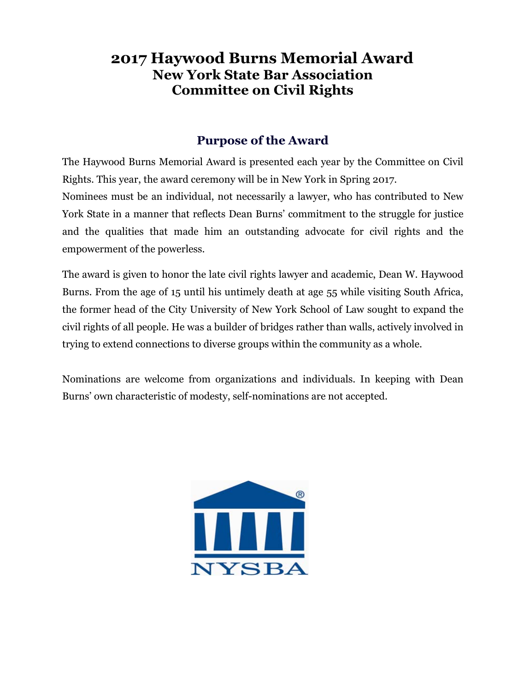## **2017 Haywood Burns Memorial Award New York State Bar Association Committee on Civil Rights**

## **Purpose of the Award**

The Haywood Burns Memorial Award is presented each year by the Committee on Civil Rights. This year, the award ceremony will be in New York in Spring 2017.

Nominees must be an individual, not necessarily a lawyer, who has contributed to New York State in a manner that reflects Dean Burns' commitment to the struggle for justice and the qualities that made him an outstanding advocate for civil rights and the empowerment of the powerless.

The award is given to honor the late civil rights lawyer and academic, Dean W. Haywood Burns. From the age of 15 until his untimely death at age 55 while visiting South Africa, the former head of the City University of New York School of Law sought to expand the civil rights of all people. He was a builder of bridges rather than walls, actively involved in trying to extend connections to diverse groups within the community as a whole.

Nominations are welcome from organizations and individuals. In keeping with Dean Burns' own characteristic of modesty, self-nominations are not accepted.